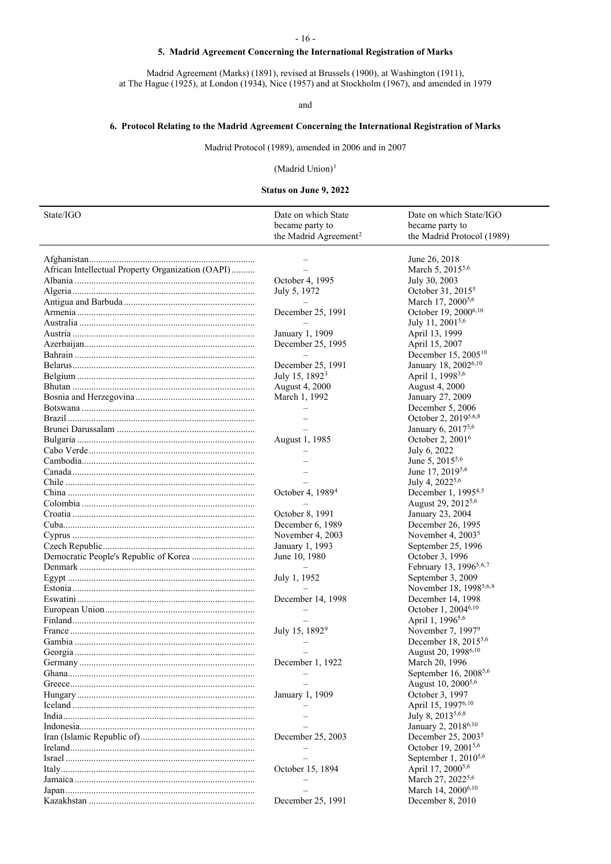## **5. Madrid Agreement Concerning the International Registration of Marks**

Madrid Agreement (Marks) (1891), revised at Brussels (1900), at Washington (1911), at The Hague (1925), at London (1934), Nice (1957) and at Stockholm (1967), and amended in 1979

## and

## **6. Protocol Relating to the Madrid Agreement Concerning the International Registration of Marks**

Madrid Protocol (1989), amended in 2006 and in 2007

# (Madrid Union)[1](#page-2-0)

## <span id="page-0-5"></span><span id="page-0-4"></span><span id="page-0-3"></span><span id="page-0-2"></span><span id="page-0-1"></span><span id="page-0-0"></span>**Status on June 9, 2022**

| State/IGO                                         | Date on which State<br>became party to | Date on which State/IGO<br>became party to              |
|---------------------------------------------------|----------------------------------------|---------------------------------------------------------|
|                                                   | the Madrid Agreement <sup>2</sup>      | the Madrid Protocol (1989)                              |
|                                                   |                                        | June 26, 2018                                           |
| African Intellectual Property Organization (OAPI) |                                        | March 5, 2015 <sup>5,6</sup>                            |
|                                                   | October 4, 1995                        | July 30, 2003                                           |
|                                                   | July 5, 1972                           | October 31, 2015 <sup>5</sup>                           |
|                                                   |                                        | March 17, 2000 <sup>5,6</sup>                           |
|                                                   | December 25, 1991                      | October 19, 2000 <sup>6,10</sup>                        |
|                                                   |                                        | July 11, 2001 <sup>5,6</sup>                            |
|                                                   | January 1, 1909                        | April 13, 1999                                          |
|                                                   | December 25, 1995                      | April 15, 2007                                          |
|                                                   |                                        | December 15, 2005 <sup>10</sup>                         |
|                                                   | December 25, 1991                      | January 18, 2002 <sup>6,10</sup>                        |
|                                                   | July 15, 1892 <sup>3</sup>             | April 1, 1998 <sup>3,6</sup>                            |
|                                                   | August 4, 2000                         | <b>August 4, 2000</b>                                   |
|                                                   | March 1, 1992                          | January 27, 2009                                        |
|                                                   |                                        | December 5, 2006                                        |
|                                                   |                                        | October 2, 2019 <sup>5,6,8</sup>                        |
|                                                   |                                        | January 6, 20175,6                                      |
|                                                   | August 1, 1985                         | October 2, 2001 <sup>6</sup>                            |
|                                                   |                                        | July 6, 2022                                            |
|                                                   |                                        | June 5, 2015 <sup>5,6</sup>                             |
|                                                   |                                        | June 17, 2019 <sup>5,6</sup>                            |
|                                                   |                                        | July 4, 2022 <sup>5,6</sup>                             |
|                                                   | October 4, 1989 <sup>4</sup>           | December 1, 1995 <sup>4,5</sup>                         |
|                                                   |                                        | August 29, 2012 <sup>5,6</sup>                          |
|                                                   | October 8, 1991                        | January 23, 2004                                        |
|                                                   | December 6, 1989                       | December 26, 1995                                       |
|                                                   | November 4, 2003                       | November 4, $20035$                                     |
|                                                   | January 1, 1993                        | September 25, 1996                                      |
|                                                   | June 10, 1980                          | October 3, 1996                                         |
|                                                   |                                        | February 13, 1996 <sup>5,6,7</sup>                      |
|                                                   | July 1, 1952                           | September 3, 2009                                       |
|                                                   |                                        | November 18, 1998 <sup>5,6,8</sup>                      |
|                                                   | December 14, 1998                      | December 14, 1998                                       |
|                                                   |                                        | October 1, 2004 <sup>6,10</sup>                         |
|                                                   |                                        | April 1, 1996 <sup>5,6</sup>                            |
|                                                   | July 15, 1892 <sup>9</sup>             | November 7, 19979                                       |
|                                                   |                                        | December 18, 2015 <sup>5,6</sup>                        |
|                                                   |                                        | August 20, 1998 <sup>6,10</sup>                         |
|                                                   | December 1, 1922                       | March 20, 1996                                          |
|                                                   |                                        | September 16, 2008 <sup>5,6</sup>                       |
|                                                   |                                        | August 10, 2000 <sup>5,6</sup>                          |
|                                                   | January 1, 1909                        | October 3, 1997<br>April 15, 19976, 10                  |
|                                                   |                                        |                                                         |
|                                                   |                                        | July 8, 2013 <sup>5,6,8</sup>                           |
|                                                   |                                        | January 2, 2018 <sup>6,10</sup>                         |
|                                                   | December 25, 2003                      | December 25, $20035$<br>October 19, 2001 <sup>5,6</sup> |
|                                                   |                                        | September 1, 2010 <sup>5,6</sup>                        |
|                                                   |                                        | April 17, 2000 <sup>5,6</sup>                           |
|                                                   | October 15, 1894                       | March 27, 2022 <sup>5,6</sup>                           |
|                                                   |                                        | March 14, 2000 <sup>6,10</sup>                          |
|                                                   | December 25, 1991                      | December 8, 2010                                        |
|                                                   |                                        |                                                         |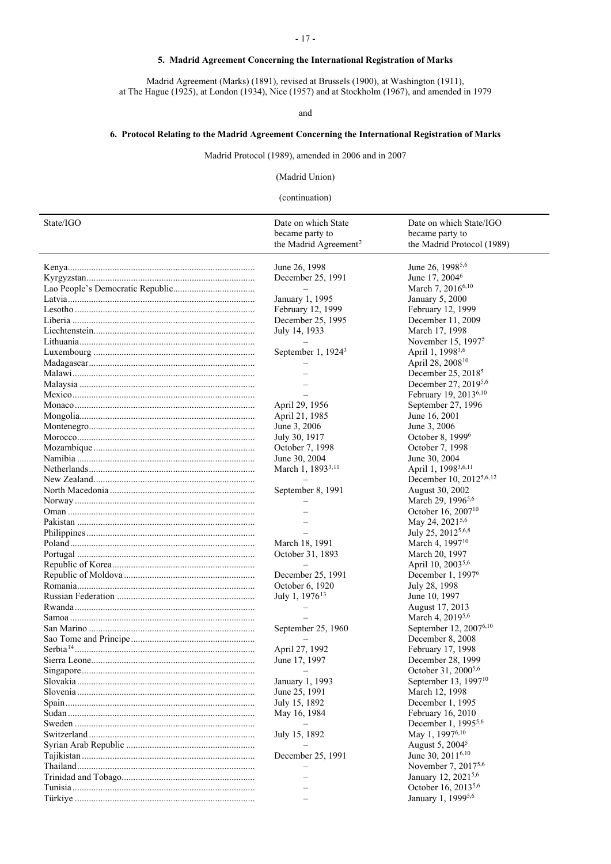## **5. Madrid Agreement Concerning the International Registration of Marks**

Madrid Agreement (Marks) (1891), revised at Brussels (1900), at Washington (1911), at The Hague (1925), at London (1934), Nice (1957) and at Stockholm (1967), and amended in 1979

and

# **6. Protocol Relating to the Madrid Agreement Concerning the International Registration of Marks**

Madrid Protocol (1989), amended in 2006 and in 2007

(Madrid Union)

## <span id="page-1-0"></span>(continuation)

| State/IGO | Date on which State               | Date on which State/IGO             |
|-----------|-----------------------------------|-------------------------------------|
|           | became party to                   | became party to                     |
|           | the Madrid Agreement <sup>2</sup> | the Madrid Protocol (1989)          |
|           | June 26, 1998                     | June 26, 1998 <sup>5,6</sup>        |
|           | December 25, 1991                 | June 17, 2004 <sup>6</sup>          |
|           |                                   | March 7, 20166,10                   |
|           | January 1, 1995                   | January 5, 2000                     |
|           | February 12, 1999                 | February 12, 1999                   |
|           |                                   |                                     |
|           | December 25, 1995                 | December 11, 2009                   |
|           | July 14, 1933                     | March 17, 1998                      |
|           |                                   | November 15, $19975$                |
|           | September 1, 1924 <sup>3</sup>    | April 1, 1998 <sup>3,6</sup>        |
|           |                                   | April 28, 2008 <sup>10</sup>        |
|           |                                   | December 25, $20185$                |
|           |                                   | December 27, 20195,6                |
|           |                                   | February 19, 2013 <sup>6,10</sup>   |
|           | April 29, 1956                    | September 27, 1996                  |
|           | April 21, 1985                    | June 16, 2001                       |
|           | June 3, 2006                      | June 3, 2006                        |
|           | July 30, 1917                     | October 8, 1999 <sup>6</sup>        |
|           | October 7, 1998                   | October 7, 1998                     |
|           | June 30, 2004                     | June 30, 2004                       |
|           | March 1, 1893 <sup>3,11</sup>     | April 1, 1998 <sup>3,6,11</sup>     |
|           |                                   | December 10, 2012 <sup>5,6,12</sup> |
|           | September 8, 1991                 | August 30, 2002                     |
|           |                                   | March 29, 1996 <sup>5,6</sup>       |
|           |                                   | October 16, 2007 <sup>10</sup>      |
|           |                                   | May 24, 2021 <sup>5,6</sup>         |
|           |                                   | July 25, 20125,6,8                  |
|           | March 18, 1991                    | March 4, 1997 <sup>10</sup>         |
|           | October 31, 1893                  | March 20, 1997                      |
|           |                                   | April 10, 2003 <sup>5,6</sup>       |
|           | December 25, 1991                 | December 1, 1997 <sup>6</sup>       |
|           | October 6, 1920                   | July 28, 1998                       |
|           | July 1, 1976 <sup>13</sup>        | June 10, 1997                       |
|           |                                   |                                     |
|           |                                   | August 17, 2013                     |
|           |                                   | March 4, 20195,6                    |
|           | September 25, 1960                | September 12, 20076,10              |
|           |                                   | December 8, 2008                    |
|           | April 27, 1992                    | February 17, 1998                   |
|           | June 17, 1997                     | December 28, 1999                   |
|           |                                   | October 31, 2000 <sup>5,6</sup>     |
|           | January 1, 1993                   | September 13, 1997 <sup>10</sup>    |
|           | June 25, 1991                     | March 12, 1998                      |
|           | July 15, 1892                     | December 1, 1995                    |
|           | May 16, 1984                      | February 16, 2010                   |
|           |                                   | December 1, 1995 <sup>5,6</sup>     |
|           | July 15, 1892                     | May 1, 19976,10                     |
|           |                                   | August 5, 2004 <sup>5</sup>         |
|           | December 25, 1991                 | June 30, 2011 <sup>6,10</sup>       |
|           |                                   | November 7, 20175,6                 |
|           |                                   | January 12, 2021 <sup>5,6</sup>     |
|           |                                   | October 16, 2013 <sup>5,6</sup>     |
|           |                                   | January 1, 19995,6                  |
|           |                                   |                                     |